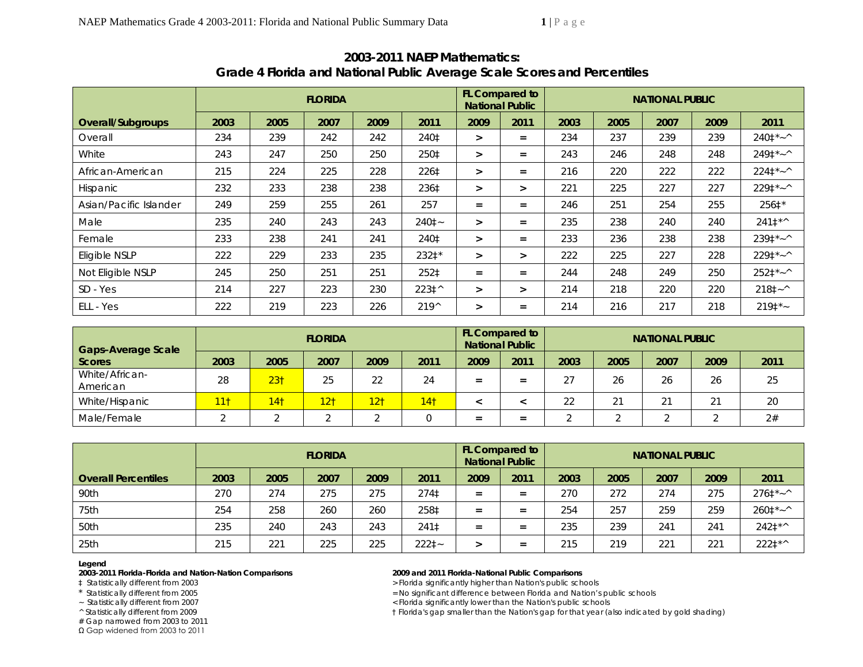|                        | <b>FLORIDA</b> |      |      |      |                |        | <b>FL Compared to</b><br><b>National Public</b> | <b>NATIONAL PUBLIC</b> |      |      |      |                    |  |
|------------------------|----------------|------|------|------|----------------|--------|-------------------------------------------------|------------------------|------|------|------|--------------------|--|
| Overall/Subgroups      | 2003           | 2005 | 2007 | 2009 | 2011           | 2009   | 2011                                            | 2003                   | 2005 | 2007 | 2009 | 2011               |  |
| Overall                | 234            | 239  | 242  | 242  | 240‡           | $\geq$ | $=$                                             | 234                    | 237  | 239  | 239  | $2401*~$           |  |
| White                  | 243            | 247  | 250  | 250  | 250‡           | $\geq$ | $=$                                             | 243                    | 246  | 248  | 248  | $2491*~$           |  |
| African-American       | 215            | 224  | 225  | 228  | 226‡           | $\geq$ | $=$                                             | 216                    | 220  | 222  | 222  | $2241*~$           |  |
| Hispanic               | 232            | 233  | 238  | 238  | 236‡           | $\geq$ | ⋗                                               | 221                    | 225  | 227  | 227  | $2291*~$           |  |
| Asian/Pacific Islander | 249            | 259  | 255  | 261  | 257            | $=$    | $=$                                             | 246                    | 251  | 254  | 255  | 256‡*              |  |
| Male                   | 235            | 240  | 243  | 243  | $2401 -$       | $\geq$ | $=$                                             | 235                    | 238  | 240  | 240  | $2411^{*\wedge}$   |  |
| Female                 | 233            | 238  | 241  | 241  | 240‡           | $\geq$ | $=$                                             | 233                    | 236  | 238  | 238  | $2391*~$           |  |
| Eligible NSLP          | 222            | 229  | 233  | 235  | 232‡*          | $\geq$ | $\geq$                                          | 222                    | 225  | 227  | 228  | $2291*~$           |  |
| Not Eligible NSLP      | 245            | 250  | 251  | 251  | 252‡           | $=$    | $=$                                             | 244                    | 248  | 249  | 250  | $2521*~$           |  |
| SD - Yes               | 214            | 227  | 223  | 230  | 223‡^          | $\geq$ | $\geq$                                          | 214                    | 218  | 220  | 220  | $2181 - ^{\wedge}$ |  |
| ELL - Yes              | 222            | 219  | 223  | 226  | $219^{\wedge}$ | $\geq$ | $=$                                             | 214                    | 216  | 217  | 218  | $2191*$            |  |

# **2003-2011 NAEP Mathematics: Grade 4 Florida and National Public Average Scale Scores and Percentiles**

| <b>Gaps-Average Scale</b>  | <b>FLORIDA</b> |                 |                 |                 |                 |      | <b>FL Compared to</b><br><b>National Public</b> |      | <b>NATIONAL PUBLIC</b> |      |      |      |  |  |
|----------------------------|----------------|-----------------|-----------------|-----------------|-----------------|------|-------------------------------------------------|------|------------------------|------|------|------|--|--|
| <b>Scores</b>              | 2003           | 2005            | 2007            | 2009            | 2011            | 2009 | 2011                                            | 2003 | 2005                   | 2007 | 2009 | 2011 |  |  |
| White/African-<br>American | 28             | 23 <sub>1</sub> | 25              | 22              | 24              | $=$  | -<br>-                                          | 27   | 26                     | 26   | 26   | 25   |  |  |
| White/Hispanic             | <u> 11</u>     | 14 <sub>1</sub> | 12 <sub>1</sub> | 12 <sub>1</sub> | 14 <sub>1</sub> |      |                                                 | 22   | 21                     | 21   | 21   | 20   |  |  |
| Male/Female                |                |                 |                 |                 |                 | $=$  | -<br>-                                          |      |                        |      |      | 2#   |  |  |

|                            | <b>FLORIDA</b> |                |      |      |          |      | <b>FL Compared to</b><br><b>National Public</b> | <b>NATIONAL PUBLIC</b> |      |      |      |          |  |
|----------------------------|----------------|----------------|------|------|----------|------|-------------------------------------------------|------------------------|------|------|------|----------|--|
| <b>Overall Percentiles</b> | 2003           | 2005           | 2007 | 2009 | 2011     | 2009 | 2011                                            | 2003                   | 2005 | 2007 | 2009 | 2011     |  |
| 90th                       | 270            | 274            | 275  | 275  | 274‡     | $=$  | $=$                                             | 270                    | 272  | 274  | 275  | $2761*~$ |  |
| 75th                       | 254            | 258            | 260  | 260  | 258‡     | $=$  | $=$                                             | 254                    | 257  | 259  | 259  | $2601*~$ |  |
| 50th                       | 235            | 240            | 243  | 243  | 241‡     | $=$  | $=$                                             | 235                    | 239  | 241  | 241  | 242‡*^   |  |
| 25th                       | 215            | $22^{\degree}$ | 225  | 225  | $2221 -$ |      | =                                               | 215                    | 219  | 221  | 221  | 222‡*^   |  |

### **Legend**

**2003-2011 Florida-Florida and Nation-Nation Comparisons 2009 and 2011 Florida-National Public Comparisons** 

# Gap narrowed from 2003 to 2011

Ω Gap widened from 2003 to 2011

> Florida significantly higher than Nation's public schools

\* Statistically different from 2005 = No significant difference between Florida and Nation's public schools

~ Statistically different from 2007<br>
^ Statistically different from 2009<br>
^ Statistically different from 2009<br>
(2) The Florida's gap smaller than the Nation's gap for that year (and the Nation's gap for that year (and the

 $\dagger$  Florida's gap smaller than the Nation's gap for that year (also indicated by gold shading)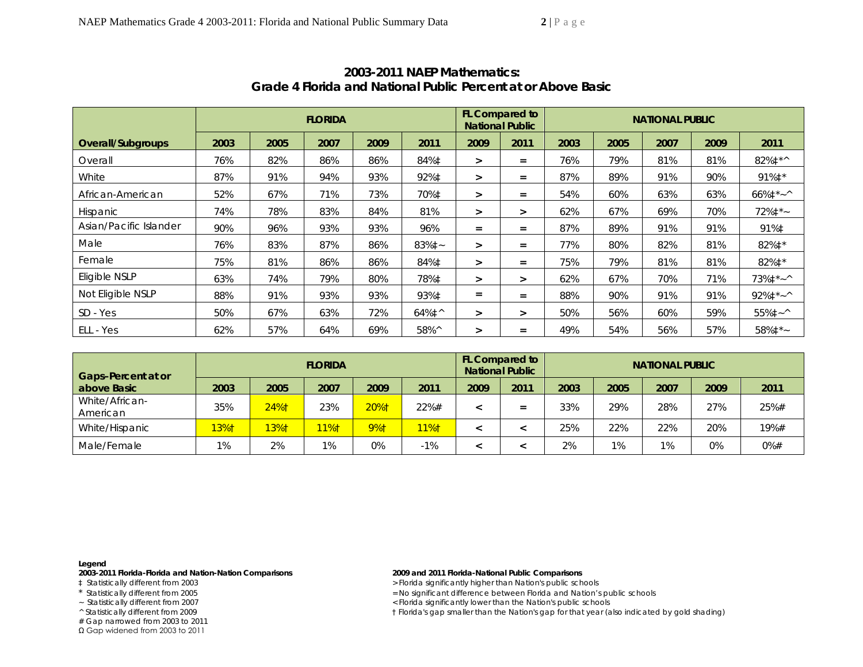| Overall/Subgroups      |      | <b>FLORIDA</b> |      |      |                     |                   |        | FL Compared to<br><b>NATIONAL PUBLIC</b> |      |      |      |                         |  |
|------------------------|------|----------------|------|------|---------------------|-------------------|--------|------------------------------------------|------|------|------|-------------------------|--|
|                        | 2003 | 2005           | 2007 | 2009 | 2011                | 2009              | 2011   | 2003                                     | 2005 | 2007 | 2009 | 2011                    |  |
| Overall                | 76%  | 82%            | 86%  | 86%  | 84%‡                | $\geq$            | $=$    | 76%                                      | 79%  | 81%  | 81%  | 82%‡*^                  |  |
| White                  | 87%  | 91%            | 94%  | 93%  | 92%‡                | $\geq$            | $=$    | 87%                                      | 89%  | 91%  | 90%  | 91%‡*                   |  |
| African-American       | 52%  | 67%            | 71%  | 73%  | 70%‡                | $\geq$            | $=$    | 54%                                      | 60%  | 63%  | 63%  | $66\%$ <sup>*</sup> ~ ^ |  |
| Hispanic               | 74%  | 78%            | 83%  | 84%  | 81%                 | $\geq$            | $\geq$ | 62%                                      | 67%  | 69%  | 70%  | $72\%$ ‡*~              |  |
| Asian/Pacific Islander | 90%  | 96%            | 93%  | 93%  | 96%                 | $=$               | $=$    | 87%                                      | 89%  | 91%  | 91%  | 91%‡                    |  |
| Male                   | 76%  | 83%            | 87%  | 86%  | 83%‡~               | $\geq$            | $=$    | 77%                                      | 80%  | 82%  | 81%  | 82%‡*                   |  |
| Female                 | 75%  | 81%            | 86%  | 86%  | 84%‡                | $\geq$            | $=$    | 75%                                      | 79%  | 81%  | 81%  | 82%‡*                   |  |
| Eligible NSLP          | 63%  | 74%            | 79%  | 80%  | 78%‡                | $\geq$            | $\geq$ | 62%                                      | 67%  | 70%  | 71%  | $73\%$ ‡*~^             |  |
| Not Eligible NSLP      | 88%  | 91%            | 93%  | 93%  | 93%‡                | $\qquad \qquad =$ | $=$    | 88%                                      | 90%  | 91%  | 91%  | $92\%$ ‡*~^             |  |
| SD - Yes               | 50%  | 67%            | 63%  | 72%  | $64\%$ <sup>1</sup> | $\geq$            | $\geq$ | 50%                                      | 56%  | 60%  | 59%  | $55\%1 - ^{\wedge}$     |  |
| ELL - Yes              | 62%  | 57%            | 64%  | 69%  | 58%^                | $\geq$            | Ξ      | 49%                                      | 54%  | 56%  | 57%  | 58%‡*~                  |  |

## **2003-2011 NAEP Mathematics: Grade 4 Florida and National Public Percent at or Above** *Basic*

| <b>Gaps-Percent at or</b>  | <b>FLORIDA</b> |      |      |      |       |      | <b>FL Compared to</b><br><b>National Public</b> | <b>NATIONAL PUBLIC</b> |       |       |      |        |  |
|----------------------------|----------------|------|------|------|-------|------|-------------------------------------------------|------------------------|-------|-------|------|--------|--|
| above Basic                | 2003           | 2005 | 2007 | 2009 | 2011  | 2009 | 2011                                            | 2003                   | 2005  | 2007  | 2009 | 2011   |  |
| White/African-<br>American | 35%            | 24%1 | 23%  | 20%1 | 22%#  |      | $=$                                             | 33%                    | 29%   | 28%   | 27%  | 25%#   |  |
| White/Hispanic             | $13%$ †        | 13%† | 11%1 | 9%†  | 11%†  |      |                                                 | 25%                    | 22%   | 22%   | 20%  | 19%#   |  |
| Male/Female                | 1%             | 2%   | 1%   | 0%   | $-1%$ |      |                                                 | 2%                     | $1\%$ | $1\%$ | 0%   | $0%$ # |  |

**Legend** 

**2003-2011 Florida-Florida and Nation-Nation Comparisons 2009 and 2011 Florida-National Public Comparisons** 

# Gap narrowed from 2003 to 2011

Ω Gap widened from 2003 to 2011

> Florida significantly higher than Nation's public schools

\* Statistically different from 2005 = No significant difference between Florida and Nation's public schools

~ Statistically different from 2007<br>
^ Statistically different from 2009<br>
^ Statistically different from 2009<br>
(2) The Florida's gap smaller than the Nation's gap for that year (and the Nation's gap for that year (and the

 $\dagger$  Florida's gap smaller than the Nation's gap for that year (also indicated by gold shading)